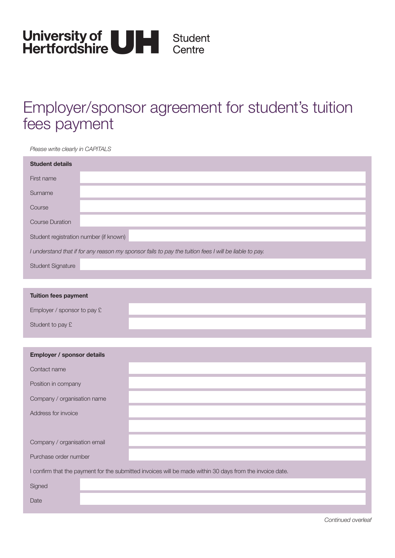

## Employer/sponsor agreement for student's tuition fees payment

*Please write clearly in CAPITALS*

| <b>Student details</b>                                                                                                                                                                                                                                                                                                                                                               |  |  |  |  |  |  |
|--------------------------------------------------------------------------------------------------------------------------------------------------------------------------------------------------------------------------------------------------------------------------------------------------------------------------------------------------------------------------------------|--|--|--|--|--|--|
| First name                                                                                                                                                                                                                                                                                                                                                                           |  |  |  |  |  |  |
| Surname                                                                                                                                                                                                                                                                                                                                                                              |  |  |  |  |  |  |
| Course                                                                                                                                                                                                                                                                                                                                                                               |  |  |  |  |  |  |
| <b>Course Duration</b>                                                                                                                                                                                                                                                                                                                                                               |  |  |  |  |  |  |
| Student registration number (if known)                                                                                                                                                                                                                                                                                                                                               |  |  |  |  |  |  |
| I understand that if for any reason my sponsor fails to pay the tuition fees I will be liable to pay.                                                                                                                                                                                                                                                                                |  |  |  |  |  |  |
| <b>Student Signature</b>                                                                                                                                                                                                                                                                                                                                                             |  |  |  |  |  |  |
|                                                                                                                                                                                                                                                                                                                                                                                      |  |  |  |  |  |  |
| <b>Tuition fees payment</b>                                                                                                                                                                                                                                                                                                                                                          |  |  |  |  |  |  |
| $\overline{a}$ $\overline{b}$ $\overline{c}$ $\overline{c}$ $\overline{c}$ $\overline{c}$ $\overline{c}$ $\overline{c}$ $\overline{c}$ $\overline{c}$ $\overline{c}$ $\overline{c}$ $\overline{c}$ $\overline{c}$ $\overline{c}$ $\overline{c}$ $\overline{c}$ $\overline{c}$ $\overline{c}$ $\overline{c}$ $\overline{c}$ $\overline{c}$ $\overline{c}$ $\overline{c}$ $\overline{$ |  |  |  |  |  |  |

| Employer / sponsor to pay $E$ |  |
|-------------------------------|--|
| Student to pay £              |  |
|                               |  |

| Employer / sponsor details                                                                               |  |  |  |  |
|----------------------------------------------------------------------------------------------------------|--|--|--|--|
| Contact name                                                                                             |  |  |  |  |
| Position in company                                                                                      |  |  |  |  |
| Company / organisation name                                                                              |  |  |  |  |
| Address for invoice                                                                                      |  |  |  |  |
|                                                                                                          |  |  |  |  |
| Company / organisation email                                                                             |  |  |  |  |
| Purchase order number                                                                                    |  |  |  |  |
| I confirm that the payment for the submitted invoices will be made within 30 days from the invoice date. |  |  |  |  |
| Signed                                                                                                   |  |  |  |  |
| Date                                                                                                     |  |  |  |  |